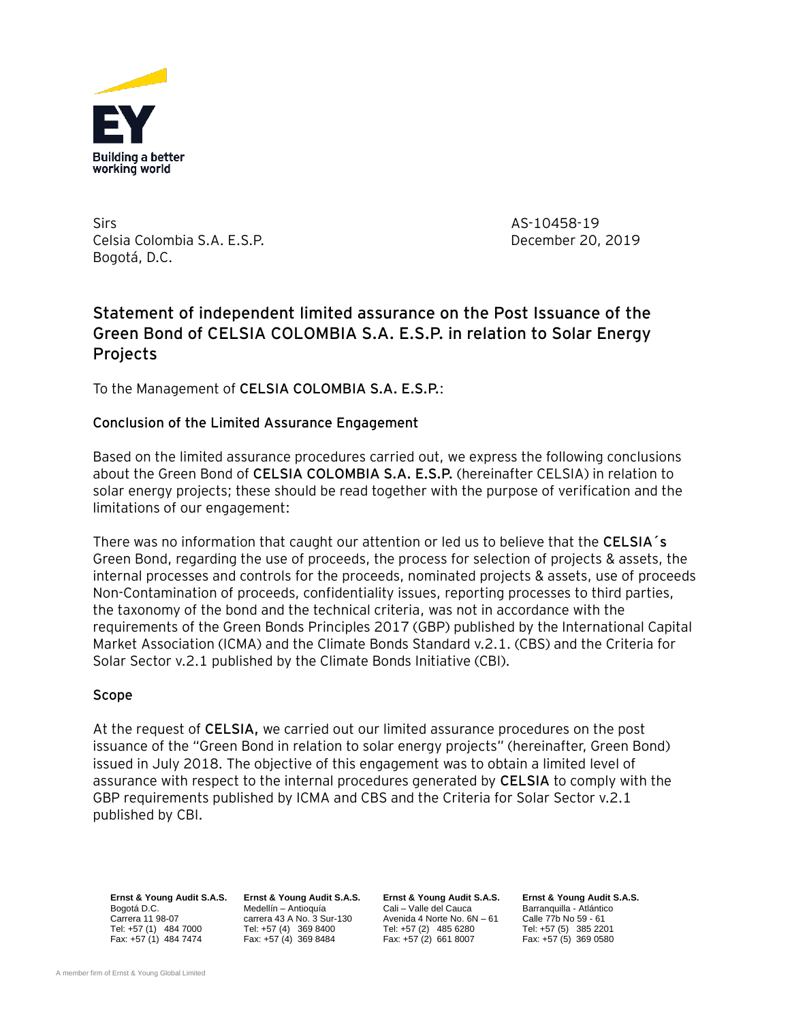

Sirs AS-10458-19 Celsia Colombia S.A. E.S.P. December 20, 2019 Bogotá, D.C.

# **Statement of independent limited assurance on the Post Issuance of the Green Bond of CELSIA COLOMBIA S.A. E.S.P. in relation to Solar Energy Projects**

To the Management of **CELSIA COLOMBIA S.A. E.S.P.**:

## **Conclusion of the Limited Assurance Engagement**

Based on the limited assurance procedures carried out, we express the following conclusions about the Green Bond of **CELSIA COLOMBIA S.A. E.S.P.** (hereinafter CELSIA) in relation to solar energy projects; these should be read together with the purpose of verification and the limitations of our engagement:

There was no information that caught our attention or led us to believe that the **CELSIA´s** Green Bond, regarding the use of proceeds, the process for selection of projects & assets, the internal processes and controls for the proceeds, nominated projects & assets, use of proceeds Non-Contamination of proceeds, confidentiality issues, reporting processes to third parties, the taxonomy of the bond and the technical criteria, was not in accordance with the requirements of the Green Bonds Principles 2017 (GBP) published by the International Capital Market Association (ICMA) and the Climate Bonds Standard v.2.1. (CBS) and the Criteria for Solar Sector v.2.1 published by the Climate Bonds Initiative (CBI).

### **Scope**

At the request of **CELSIA,** we carried out our limited assurance procedures on the post issuance of the "Green Bond in relation to solar energy projects" (hereinafter, Green Bond) issued in July 2018. The objective of this engagement was to obtain a limited level of assurance with respect to the internal procedures generated by **CELSIA** to comply with the GBP requirements published by ICMA and CBS and the Criteria for Solar Sector v.2.1 published by CBI.

**Ernst & Young Audit S.A.S. Ernst & Young Audit S.A.S. Ernst & Young Audit S.A.S. Ernst & Young Audit S.A.S.**

Fax:  $+57(4)$  369 8484

Bogotá D.C. (Cali – Medellín – Antioquía Cali – Valle del Cauca Barranquilla - Atlántico Carrera 13 Atlántico<br>Carrera 11 98-07 (Carrera 43 A No. 3 Sur-130 Avenida 4 Norte No. 6N – 61 (Calle 77b No 59 - 61) Carrera 11 98-07 carrera 43 A No. 3 Sur-130 Avenida 4 Norte No. 6N – 61 Calle 77b No 59 - 61<br>Tel: +57 (1) 484 7000 Tel: +57 (4) 369 8400 Tel: +57 (2) 485 6280 Tel: +57 (5) 385 2201 Tel: +57 (1) 484 7000 Tel: +57 (4) 369 8400 Tel: +57 (2) 485 6280 Tel: +57 (5) 385 2201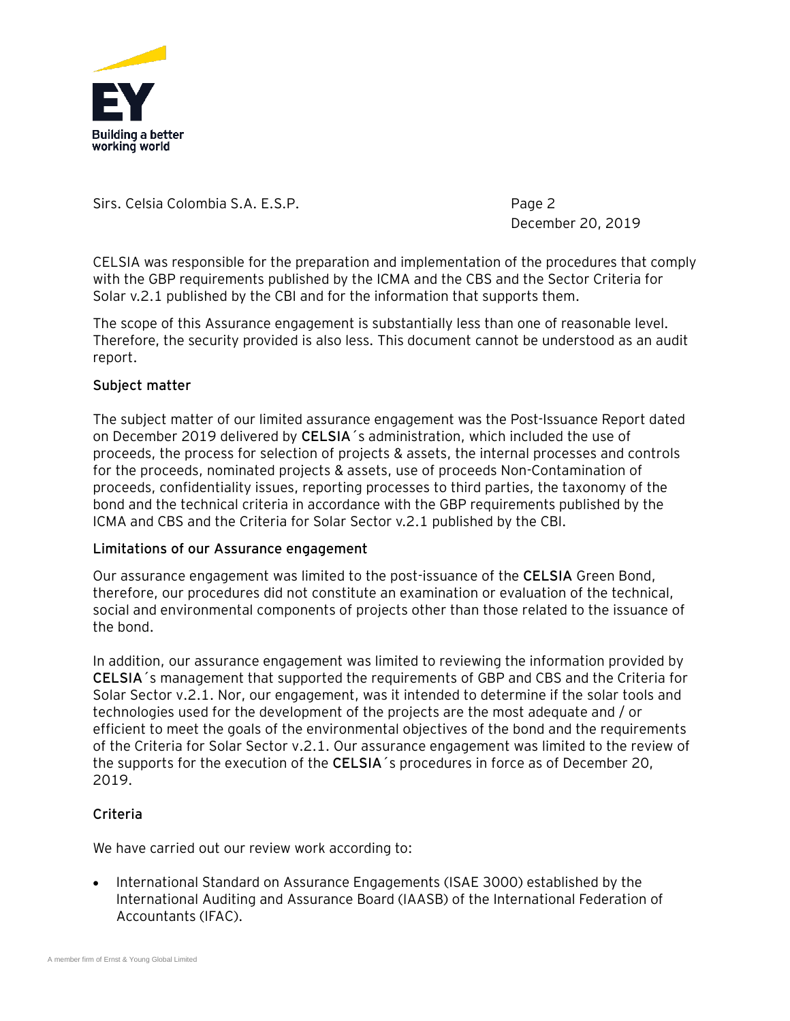

December 20, 2019

CELSIA was responsible for the preparation and implementation of the procedures that comply with the GBP requirements published by the ICMA and the CBS and the Sector Criteria for Solar v.2.1 published by the CBI and for the information that supports them.

The scope of this Assurance engagement is substantially less than one of reasonable level. Therefore, the security provided is also less. This document cannot be understood as an audit report.

### **Subject matter**

The subject matter of our limited assurance engagement was the Post-Issuance Report dated on December 2019 delivered by **CELSIA**´s administration, which included the use of proceeds, the process for selection of projects & assets, the internal processes and controls for the proceeds, nominated projects & assets, use of proceeds Non-Contamination of proceeds, confidentiality issues, reporting processes to third parties, the taxonomy of the bond and the technical criteria in accordance with the GBP requirements published by the ICMA and CBS and the Criteria for Solar Sector v.2.1 published by the CBI.

### **Limitations of our Assurance engagement**

Our assurance engagement was limited to the post-issuance of the **CELSIA** Green Bond, therefore, our procedures did not constitute an examination or evaluation of the technical, social and environmental components of projects other than those related to the issuance of the bond.

In addition, our assurance engagement was limited to reviewing the information provided by **CELSIA**´s management that supported the requirements of GBP and CBS and the Criteria for Solar Sector v.2.1. Nor, our engagement, was it intended to determine if the solar tools and technologies used for the development of the projects are the most adequate and / or efficient to meet the goals of the environmental objectives of the bond and the requirements of the Criteria for Solar Sector v.2.1. Our assurance engagement was limited to the review of the supports for the execution of the **CELSIA**´s procedures in force as of December 20, 2019.

# **Criteria**

We have carried out our review work according to:

• International Standard on Assurance Engagements (ISAE 3000) established by the International Auditing and Assurance Board (IAASB) of the International Federation of Accountants (IFAC).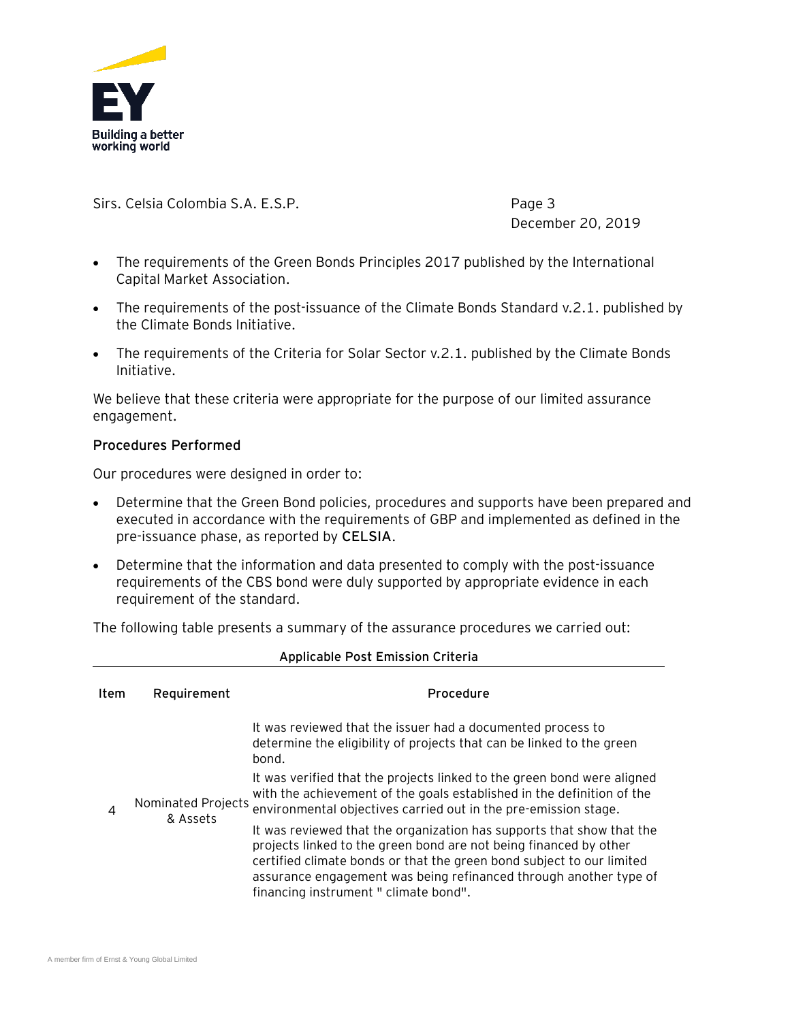

December 20, 2019

- The requirements of the Green Bonds Principles 2017 published by the International Capital Market Association.
- The requirements of the post-issuance of the Climate Bonds Standard v.2.1. published by the Climate Bonds Initiative.
- The requirements of the Criteria for Solar Sector v.2.1. published by the Climate Bonds Initiative.

We believe that these criteria were appropriate for the purpose of our limited assurance engagement.

### **Procedures Performed**

Our procedures were designed in order to:

- Determine that the Green Bond policies, procedures and supports have been prepared and executed in accordance with the requirements of GBP and implemented as defined in the pre-issuance phase, as reported by **CELSIA**.
- Determine that the information and data presented to comply with the post-issuance requirements of the CBS bond were duly supported by appropriate evidence in each requirement of the standard.

The following table presents a summary of the assurance procedures we carried out:

| Applicable Post Emission Criteria |                                |                                                                                                                                                                                                                                                                                                                                   |  |
|-----------------------------------|--------------------------------|-----------------------------------------------------------------------------------------------------------------------------------------------------------------------------------------------------------------------------------------------------------------------------------------------------------------------------------|--|
| Item                              | Requirement                    | Procedure                                                                                                                                                                                                                                                                                                                         |  |
| 4                                 | Nominated Projects<br>& Assets | It was reviewed that the issuer had a documented process to<br>determine the eligibility of projects that can be linked to the green<br>bond.                                                                                                                                                                                     |  |
|                                   |                                | It was verified that the projects linked to the green bond were aligned<br>with the achievement of the goals established in the definition of the<br>environmental objectives carried out in the pre-emission stage.                                                                                                              |  |
|                                   |                                | It was reviewed that the organization has supports that show that the<br>projects linked to the green bond are not being financed by other<br>certified climate bonds or that the green bond subject to our limited<br>assurance engagement was being refinanced through another type of<br>financing instrument " climate bond". |  |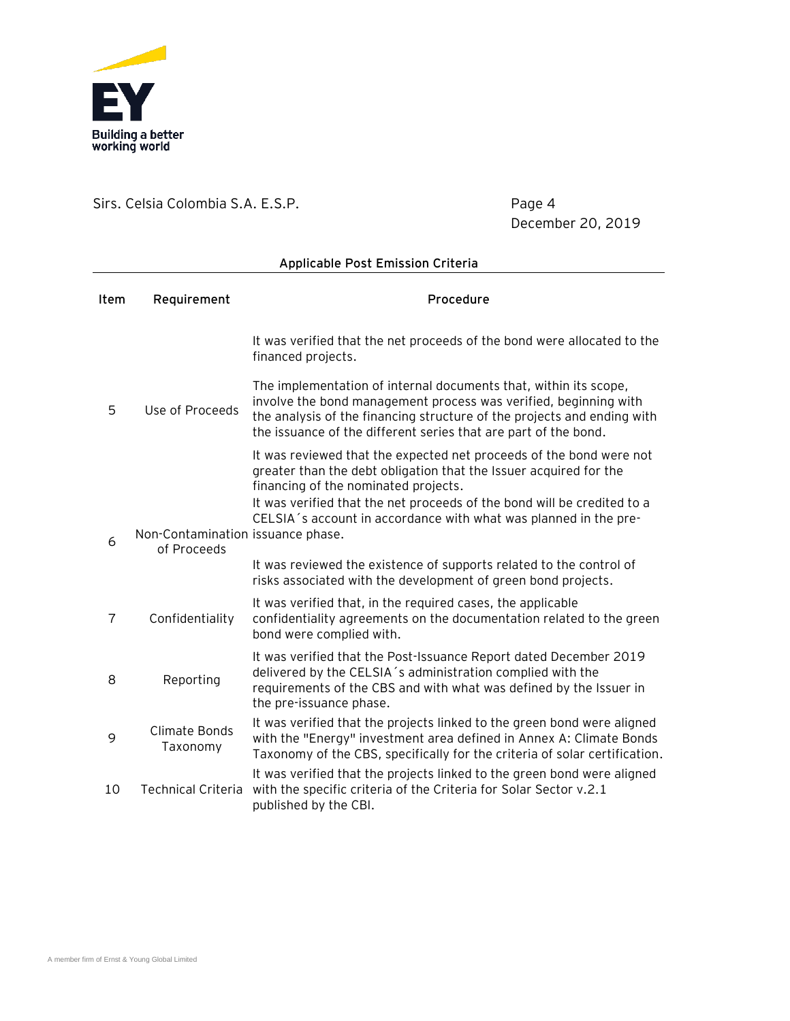

December 20, 2019

| Applicable Post Emission Criteria |                                                  |                                                                                                                                                                                                                                                                                    |  |
|-----------------------------------|--------------------------------------------------|------------------------------------------------------------------------------------------------------------------------------------------------------------------------------------------------------------------------------------------------------------------------------------|--|
| Item                              | Requirement                                      | Procedure                                                                                                                                                                                                                                                                          |  |
|                                   |                                                  | It was verified that the net proceeds of the bond were allocated to the<br>financed projects.                                                                                                                                                                                      |  |
| 5                                 | Use of Proceeds                                  | The implementation of internal documents that, within its scope,<br>involve the bond management process was verified, beginning with<br>the analysis of the financing structure of the projects and ending with<br>the issuance of the different series that are part of the bond. |  |
|                                   |                                                  | It was reviewed that the expected net proceeds of the bond were not<br>greater than the debt obligation that the Issuer acquired for the<br>financing of the nominated projects.                                                                                                   |  |
| 6                                 | Non-Contamination issuance phase.<br>of Proceeds | It was verified that the net proceeds of the bond will be credited to a<br>CELSIA's account in accordance with what was planned in the pre-                                                                                                                                        |  |
|                                   |                                                  | It was reviewed the existence of supports related to the control of<br>risks associated with the development of green bond projects.                                                                                                                                               |  |
| $\overline{7}$                    | Confidentiality                                  | It was verified that, in the required cases, the applicable<br>confidentiality agreements on the documentation related to the green<br>bond were complied with.                                                                                                                    |  |
| 8                                 | Reporting                                        | It was verified that the Post-Issuance Report dated December 2019<br>delivered by the CELSIA's administration complied with the<br>requirements of the CBS and with what was defined by the Issuer in<br>the pre-issuance phase.                                                   |  |
| 9                                 | Climate Bonds<br>Taxonomy                        | It was verified that the projects linked to the green bond were aligned<br>with the "Energy" investment area defined in Annex A: Climate Bonds<br>Taxonomy of the CBS, specifically for the criteria of solar certification.                                                       |  |
| 10                                | <b>Technical Criteria</b>                        | It was verified that the projects linked to the green bond were aligned<br>with the specific criteria of the Criteria for Solar Sector v.2.1<br>published by the CBI.                                                                                                              |  |